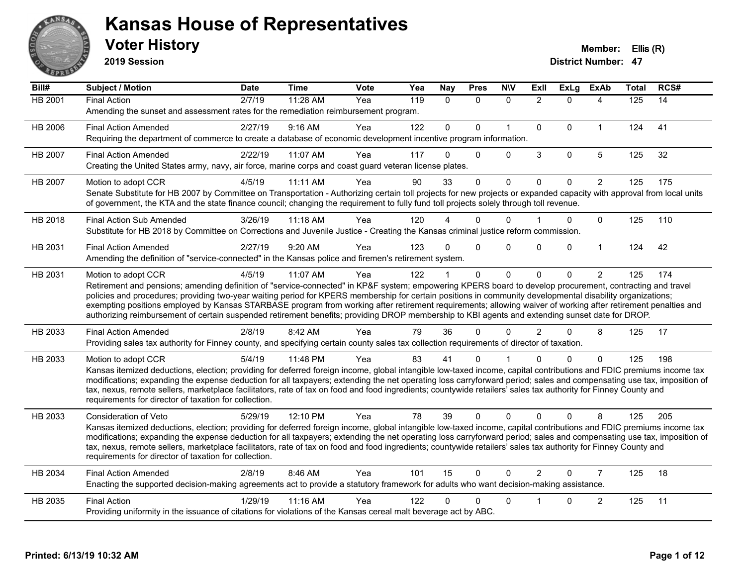

**2019 Session**

| Bill#          | Subject / Motion                                                                                                                                                                                                                                                                                                                                                                                                                                                                                                                                                                                                                                                   | <b>Date</b> | <b>Time</b> | <b>Vote</b> | Yea | <b>Nay</b>   | <b>Pres</b>  | <b>N\V</b>   | ExIl           | <b>ExLg</b> | <b>ExAb</b>    | <b>Total</b> | RCS# |
|----------------|--------------------------------------------------------------------------------------------------------------------------------------------------------------------------------------------------------------------------------------------------------------------------------------------------------------------------------------------------------------------------------------------------------------------------------------------------------------------------------------------------------------------------------------------------------------------------------------------------------------------------------------------------------------------|-------------|-------------|-------------|-----|--------------|--------------|--------------|----------------|-------------|----------------|--------------|------|
| <b>HB 2001</b> | <b>Final Action</b><br>Amending the sunset and assessment rates for the remediation reimbursement program.                                                                                                                                                                                                                                                                                                                                                                                                                                                                                                                                                         | 2/7/19      | 11:28 AM    | Yea         | 119 | $\mathbf{0}$ | $\mathbf{0}$ | $\Omega$     | $\overline{2}$ | $\Omega$    | 4              | 125          | 14   |
| HB 2006        | <b>Final Action Amended</b><br>Requiring the department of commerce to create a database of economic development incentive program information.                                                                                                                                                                                                                                                                                                                                                                                                                                                                                                                    | 2/27/19     | 9:16 AM     | Yea         | 122 | $\Omega$     | $\Omega$     | $\mathbf{1}$ | $\mathbf{0}$   | $\Omega$    | $\mathbf{1}$   | 124          | 41   |
| <b>HB 2007</b> | <b>Final Action Amended</b><br>Creating the United States army, navy, air force, marine corps and coast guard veteran license plates.                                                                                                                                                                                                                                                                                                                                                                                                                                                                                                                              | 2/22/19     | 11:07 AM    | Yea         | 117 | $\Omega$     | $\Omega$     | $\Omega$     | 3              | $\mathbf 0$ | 5              | 125          | 32   |
| HB 2007        | Motion to adopt CCR<br>Senate Substitute for HB 2007 by Committee on Transportation - Authorizing certain toll projects for new projects or expanded capacity with approval from local units<br>of government, the KTA and the state finance council; changing the requirement to fully fund toll projects solely through toll revenue.                                                                                                                                                                                                                                                                                                                            | 4/5/19      | 11:11 AM    | Yea         | 90  | 33           | $\Omega$     | $\mathbf{0}$ | $\Omega$       | $\Omega$    | $\overline{2}$ | 125          | 175  |
| HB 2018        | <b>Final Action Sub Amended</b><br>Substitute for HB 2018 by Committee on Corrections and Juvenile Justice - Creating the Kansas criminal justice reform commission.                                                                                                                                                                                                                                                                                                                                                                                                                                                                                               | 3/26/19     | $11:18$ AM  | Yea         | 120 |              | $\Omega$     | $\mathbf{0}$ |                | 0           | $\mathbf 0$    | 125          | 110  |
| HB 2031        | <b>Final Action Amended</b><br>Amending the definition of "service-connected" in the Kansas police and firemen's retirement system.                                                                                                                                                                                                                                                                                                                                                                                                                                                                                                                                | 2/27/19     | 9:20 AM     | Yea         | 123 | $\Omega$     | $\Omega$     | $\Omega$     | 0              | $\Omega$    | $\mathbf{1}$   | 124          | 42   |
| HB 2031        | Motion to adopt CCR<br>Retirement and pensions; amending definition of "service-connected" in KP&F system; empowering KPERS board to develop procurement, contracting and travel<br>policies and procedures; providing two-year waiting period for KPERS membership for certain positions in community developmental disability organizations;<br>exempting positions employed by Kansas STARBASE program from working after retirement requirements; allowing waiver of working after retirement penalties and<br>authorizing reimbursement of certain suspended retirement benefits; providing DROP membership to KBI agents and extending sunset date for DROP. | 4/5/19      | 11:07 AM    | Yea         | 122 |              | $\mathbf{0}$ | $\mathbf 0$  | $\Omega$       | $\Omega$    | $\overline{2}$ | 125          | 174  |
| HB 2033        | <b>Final Action Amended</b><br>Providing sales tax authority for Finney county, and specifying certain county sales tax collection requirements of director of taxation.                                                                                                                                                                                                                                                                                                                                                                                                                                                                                           | 2/8/19      | 8:42 AM     | Yea         | 79  | 36           | 0            | $\mathbf{0}$ | $\overline{2}$ | $\Omega$    | 8              | 125          | 17   |
| HB 2033        | Motion to adopt CCR<br>Kansas itemized deductions, election; providing for deferred foreign income, global intangible low-taxed income, capital contributions and FDIC premiums income tax<br>modifications; expanding the expense deduction for all taxpayers; extending the net operating loss carryforward period; sales and compensating use tax, imposition of<br>tax, nexus, remote sellers, marketplace facilitators, rate of tax on food and food ingredients; countywide retailers' sales tax authority for Finney County and<br>requirements for director of taxation for collection.                                                                    | 5/4/19      | 11:48 PM    | Yea         | 83  | 41           | 0            |              | n              | $\Omega$    | $\Omega$       | 125          | 198  |
| HB 2033        | Consideration of Veto<br>Kansas itemized deductions, election; providing for deferred foreign income, global intangible low-taxed income, capital contributions and FDIC premiums income tax<br>modifications; expanding the expense deduction for all taxpayers; extending the net operating loss carryforward period; sales and compensating use tax, imposition of<br>tax, nexus, remote sellers, marketplace facilitators, rate of tax on food and food ingredients; countywide retailers' sales tax authority for Finney County and<br>requirements for director of taxation for collection.                                                                  | 5/29/19     | 12:10 PM    | Yea         | 78  | 39           | $\Omega$     | $\Omega$     | $\Omega$       | $\Omega$    | 8              | 125          | 205  |
| HB 2034        | <b>Final Action Amended</b><br>Enacting the supported decision-making agreements act to provide a statutory framework for adults who want decision-making assistance.                                                                                                                                                                                                                                                                                                                                                                                                                                                                                              | 2/8/19      | 8:46 AM     | Yea         | 101 | 15           | $\mathbf 0$  | $\Omega$     | $\overline{2}$ | $\Omega$    | $\overline{7}$ | 125          | 18   |
| HB 2035        | <b>Final Action</b><br>Providing uniformity in the issuance of citations for violations of the Kansas cereal malt beverage act by ABC.                                                                                                                                                                                                                                                                                                                                                                                                                                                                                                                             | 1/29/19     | 11:16 AM    | Yea         | 122 | 0            | 0            | $\Omega$     |                | 0           | $\overline{c}$ | 125          | 11   |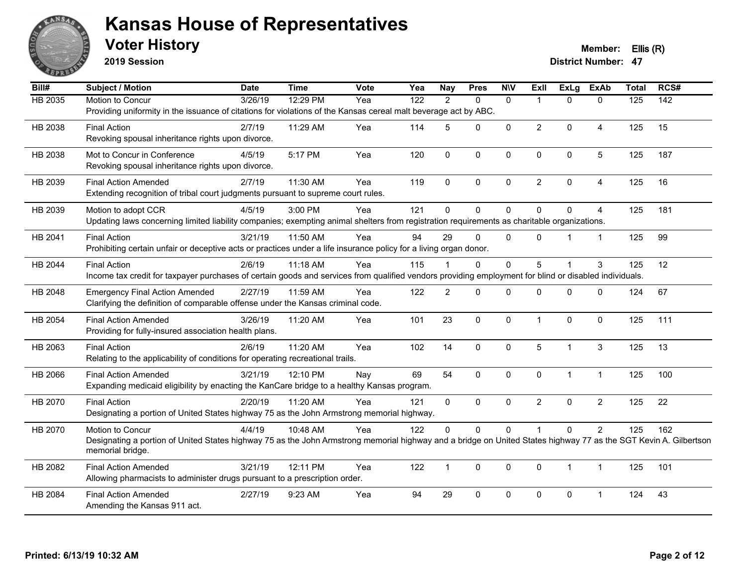

**2019 Session**

**Voter History Member: Ellis (R)** 

| Bill#          | Subject / Motion                                                                                                                                                 | <b>Date</b> | <b>Time</b> | <b>Vote</b> | Yea              | <b>Nay</b>     | <b>Pres</b> | <b>NIV</b>   | ExII           | <b>ExLg</b>  | <b>ExAb</b>    | <b>Total</b> | RCS# |
|----------------|------------------------------------------------------------------------------------------------------------------------------------------------------------------|-------------|-------------|-------------|------------------|----------------|-------------|--------------|----------------|--------------|----------------|--------------|------|
| <b>HB 2035</b> | Motion to Concur                                                                                                                                                 | 3/26/19     | 12:29 PM    | Yea         | $\overline{122}$ | $\overline{2}$ | $\Omega$    | $\mathbf{0}$ |                | $\Omega$     | $\mathbf{0}$   | 125          | 142  |
|                | Providing uniformity in the issuance of citations for violations of the Kansas cereal malt beverage act by ABC.                                                  |             |             |             |                  |                |             |              |                |              |                |              |      |
| HB 2038        | <b>Final Action</b>                                                                                                                                              | 2/7/19      | 11:29 AM    | Yea         | 114              | 5              | $\Omega$    | $\mathbf{0}$ | $\overline{2}$ | $\Omega$     | $\overline{A}$ | 125          | 15   |
|                | Revoking spousal inheritance rights upon divorce.                                                                                                                |             |             |             |                  |                |             |              |                |              |                |              |      |
| HB 2038        | Mot to Concur in Conference                                                                                                                                      | 4/5/19      | 5:17 PM     | Yea         | 120              | $\mathbf{0}$   | $\mathbf 0$ | 0            | $\mathbf{0}$   | $\mathbf 0$  | 5              | 125          | 187  |
|                | Revoking spousal inheritance rights upon divorce.                                                                                                                |             |             |             |                  |                |             |              |                |              |                |              |      |
| HB 2039        | <b>Final Action Amended</b>                                                                                                                                      | 2/7/19      | 11:30 AM    | Yea         | 119              | $\Omega$       | $\mathbf 0$ | $\mathbf 0$  | $\overline{2}$ | $\Omega$     | 4              | 125          | 16   |
|                | Extending recognition of tribal court judgments pursuant to supreme court rules.                                                                                 |             |             |             |                  |                |             |              |                |              |                |              |      |
| HB 2039        | Motion to adopt CCR                                                                                                                                              | 4/5/19      | 3:00 PM     | Yea         | 121              | $\Omega$       | $\mathbf 0$ | $\mathbf{0}$ | $\Omega$       | $\Omega$     | $\overline{A}$ | 125          | 181  |
|                | Updating laws concerning limited liability companies; exempting animal shelters from registration requirements as charitable organizations.                      |             |             |             |                  |                |             |              |                |              |                |              |      |
| HB 2041        | <b>Final Action</b>                                                                                                                                              | 3/21/19     | 11:50 AM    | Yea         | 94               | 29             | $\Omega$    | $\mathbf{0}$ | $\Omega$       |              | $\mathbf{1}$   | 125          | 99   |
|                | Prohibiting certain unfair or deceptive acts or practices under a life insurance policy for a living organ donor.                                                |             |             |             |                  |                |             |              |                |              |                |              |      |
| HB 2044        | <b>Final Action</b>                                                                                                                                              | 2/6/19      | 11:18 AM    | Yea         | 115              |                | $\mathbf 0$ | 0            | 5              |              | 3              | 125          | 12   |
|                | Income tax credit for taxpayer purchases of certain goods and services from qualified vendors providing employment for blind or disabled individuals.            |             |             |             |                  |                |             |              |                |              |                |              |      |
| HB 2048        | <b>Emergency Final Action Amended</b>                                                                                                                            | 2/27/19     | 11:59 AM    | Yea         | 122              | $\overline{2}$ | $\Omega$    | $\Omega$     | $\Omega$       | $\Omega$     | $\Omega$       | 124          | 67   |
|                | Clarifying the definition of comparable offense under the Kansas criminal code.                                                                                  |             |             |             |                  |                |             |              |                |              |                |              |      |
| HB 2054        | <b>Final Action Amended</b>                                                                                                                                      | 3/26/19     | 11:20 AM    | Yea         | 101              | 23             | $\mathbf 0$ | $\mathbf 0$  | 1              | $\mathbf{0}$ | $\mathbf{0}$   | 125          | 111  |
|                | Providing for fully-insured association health plans.                                                                                                            |             |             |             |                  |                |             |              |                |              |                |              |      |
| HB 2063        | <b>Final Action</b>                                                                                                                                              | 2/6/19      | 11:20 AM    | Yea         | 102              | 14             | $\pmb{0}$   | $\pmb{0}$    | $\overline{5}$ | $\mathbf{1}$ | $\sqrt{3}$     | 125          | 13   |
|                | Relating to the applicability of conditions for operating recreational trails.                                                                                   |             |             |             |                  |                |             |              |                |              |                |              |      |
| HB 2066        | <b>Final Action Amended</b>                                                                                                                                      | 3/21/19     | 12:10 PM    | Nav         | 69               | 54             | $\Omega$    | $\mathbf{0}$ | $\mathbf{0}$   | $\mathbf{1}$ | $\mathbf{1}$   | 125          | 100  |
|                | Expanding medicaid eligibility by enacting the KanCare bridge to a healthy Kansas program.                                                                       |             |             |             |                  |                |             |              |                |              |                |              |      |
| HB 2070        | <b>Final Action</b>                                                                                                                                              | 2/20/19     | 11:20 AM    | Yea         | 121              | $\mathbf{0}$   | $\Omega$    | $\mathbf{0}$ | $\overline{2}$ | $\mathbf 0$  | $\overline{2}$ | 125          | 22   |
|                | Designating a portion of United States highway 75 as the John Armstrong memorial highway.                                                                        |             |             |             |                  |                |             |              |                |              |                |              |      |
| HB 2070        | Motion to Concur                                                                                                                                                 | 4/4/19      | 10:48 AM    | Yea         | 122              | $\Omega$       | $\pmb{0}$   | 0            |                | $\pmb{0}$    | $\overline{c}$ | 125          | 162  |
|                | Designating a portion of United States highway 75 as the John Armstrong memorial highway and a bridge on United States highway 77 as the SGT Kevin A. Gilbertson |             |             |             |                  |                |             |              |                |              |                |              |      |
|                | memorial bridge.                                                                                                                                                 |             |             |             |                  |                |             |              |                |              |                |              |      |
| HB 2082        | <b>Final Action Amended</b>                                                                                                                                      | 3/21/19     | 12:11 PM    | Yea         | 122              | $\mathbf{1}$   | $\mathbf 0$ | $\mathbf 0$  | $\mathbf{0}$   | 1            | $\mathbf{1}$   | 125          | 101  |
|                | Allowing pharmacists to administer drugs pursuant to a prescription order.                                                                                       |             |             |             |                  |                |             |              |                |              |                |              |      |
| HB 2084        | <b>Final Action Amended</b>                                                                                                                                      | 2/27/19     | 9:23 AM     | Yea         | 94               | 29             | $\Omega$    | $\Omega$     | $\Omega$       | $\pmb{0}$    | 1              | 124          | 43   |
|                | Amending the Kansas 911 act.                                                                                                                                     |             |             |             |                  |                |             |              |                |              |                |              |      |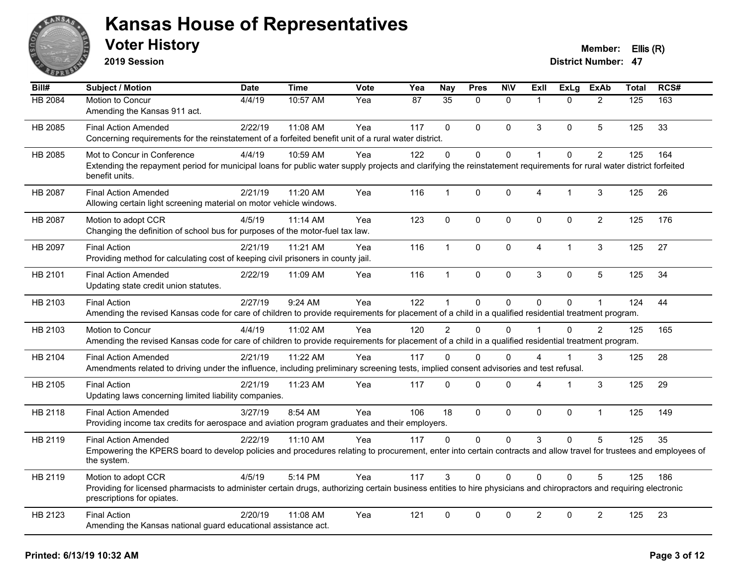

**2019 Session**

| Bill#          | Subject / Motion                                                                                                                                                                                                         | <b>Date</b> | <b>Time</b> | Vote | Yea | <b>Nay</b>      | <b>Pres</b> | <b>NIV</b>   | ExII                   | <b>ExLg</b>    | <b>ExAb</b>    | <b>Total</b> | RCS# |
|----------------|--------------------------------------------------------------------------------------------------------------------------------------------------------------------------------------------------------------------------|-------------|-------------|------|-----|-----------------|-------------|--------------|------------------------|----------------|----------------|--------------|------|
| <b>HB 2084</b> | Motion to Concur<br>Amending the Kansas 911 act.                                                                                                                                                                         | 4/4/19      | 10:57 AM    | Yea  | 87  | $\overline{35}$ | $\Omega$    | $\Omega$     | $\overline{1}$         | $\Omega$       | $\overline{2}$ | 125          | 163  |
| HB 2085        | <b>Final Action Amended</b><br>Concerning requirements for the reinstatement of a forfeited benefit unit of a rural water district.                                                                                      | 2/22/19     | 11:08 AM    | Yea  | 117 | $\Omega$        | $\Omega$    | $\mathbf{0}$ | 3                      | $\Omega$       | 5              | 125          | 33   |
| HB 2085        | Mot to Concur in Conference<br>Extending the repayment period for municipal loans for public water supply projects and clarifying the reinstatement requirements for rural water district forfeited<br>benefit units.    | 4/4/19      | 10:59 AM    | Yea  | 122 | $\mathbf 0$     | 0           | $\mathbf 0$  | $\overline{1}$         | $\Omega$       | $\overline{2}$ | 125          | 164  |
| <b>HB 2087</b> | <b>Final Action Amended</b><br>Allowing certain light screening material on motor vehicle windows.                                                                                                                       | 2/21/19     | 11:20 AM    | Yea  | 116 | $\mathbf{1}$    | 0           | $\mathbf 0$  | $\overline{4}$         | 1              | 3              | 125          | 26   |
| HB 2087        | Motion to adopt CCR<br>Changing the definition of school bus for purposes of the motor-fuel tax law.                                                                                                                     | 4/5/19      | 11:14 AM    | Yea  | 123 | $\mathbf{0}$    | 0           | $\mathbf 0$  | $\mathbf{0}$           | $\Omega$       | $\overline{2}$ | 125          | 176  |
| HB 2097        | <b>Final Action</b><br>Providing method for calculating cost of keeping civil prisoners in county jail.                                                                                                                  | 2/21/19     | 11:21 AM    | Yea  | 116 | $\mathbf{1}$    | $\Omega$    | $\mathbf 0$  | $\overline{4}$         | $\overline{1}$ | 3              | 125          | 27   |
| HB 2101        | <b>Final Action Amended</b><br>Updating state credit union statutes.                                                                                                                                                     | 2/22/19     | 11:09 AM    | Yea  | 116 | $\mathbf{1}$    | $\mathbf 0$ | $\pmb{0}$    | $\mathbf{3}$           | 0              | 5              | 125          | 34   |
| HB 2103        | <b>Final Action</b><br>Amending the revised Kansas code for care of children to provide requirements for placement of a child in a qualified residential treatment program.                                              | 2/27/19     | 9:24 AM     | Yea  | 122 | $\mathbf{1}$    | $\mathbf 0$ | 0            | $\Omega$               | $\mathbf 0$    | $\overline{1}$ | 124          | 44   |
| HB 2103        | Motion to Concur<br>Amending the revised Kansas code for care of children to provide requirements for placement of a child in a qualified residential treatment program.                                                 | 4/4/19      | 11:02 AM    | Yea  | 120 | $\mathcal{P}$   | $\Omega$    | $\Omega$     | $\overline{1}$         | $\Omega$       | $\mathcal{P}$  | 125          | 165  |
| HB 2104        | <b>Final Action Amended</b><br>Amendments related to driving under the influence, including preliminary screening tests, implied consent advisories and test refusal.                                                    | 2/21/19     | 11:22 AM    | Yea  | 117 | $\Omega$        | $\Omega$    | $\Omega$     | Δ                      |                | 3              | 125          | 28   |
| HB 2105        | <b>Final Action</b><br>Updating laws concerning limited liability companies.                                                                                                                                             | 2/21/19     | 11:23 AM    | Yea  | 117 | $\mathbf{0}$    | 0           | $\Omega$     | $\boldsymbol{\Lambda}$ | 1              | 3              | 125          | 29   |
| HB 2118        | <b>Final Action Amended</b><br>Providing income tax credits for aerospace and aviation program graduates and their employers.                                                                                            | 3/27/19     | 8:54 AM     | Yea  | 106 | 18              | $\mathbf 0$ | $\mathbf 0$  | $\mathbf 0$            | $\Omega$       | $\mathbf{1}$   | 125          | 149  |
| HB 2119        | <b>Final Action Amended</b><br>Empowering the KPERS board to develop policies and procedures relating to procurement, enter into certain contracts and allow travel for trustees and employees of<br>the system.         | 2/22/19     | $11:10$ AM  | Yea  | 117 | $\Omega$        | $\Omega$    | $\Omega$     | 3                      | $\Omega$       | 5              | 125          | 35   |
| HB 2119        | Motion to adopt CCR<br>Providing for licensed pharmacists to administer certain drugs, authorizing certain business entities to hire physicians and chiropractors and requiring electronic<br>prescriptions for opiates. | 4/5/19      | 5:14 PM     | Yea  | 117 | 3               | $\Omega$    | $\Omega$     | $\Omega$               | $\Omega$       | 5              | 125          | 186  |
| HB 2123        | <b>Final Action</b><br>Amending the Kansas national guard educational assistance act.                                                                                                                                    | 2/20/19     | 11:08 AM    | Yea  | 121 | $\mathbf 0$     | 0           | $\Omega$     | $\overline{2}$         | 0              | $\overline{2}$ | 125          | 23   |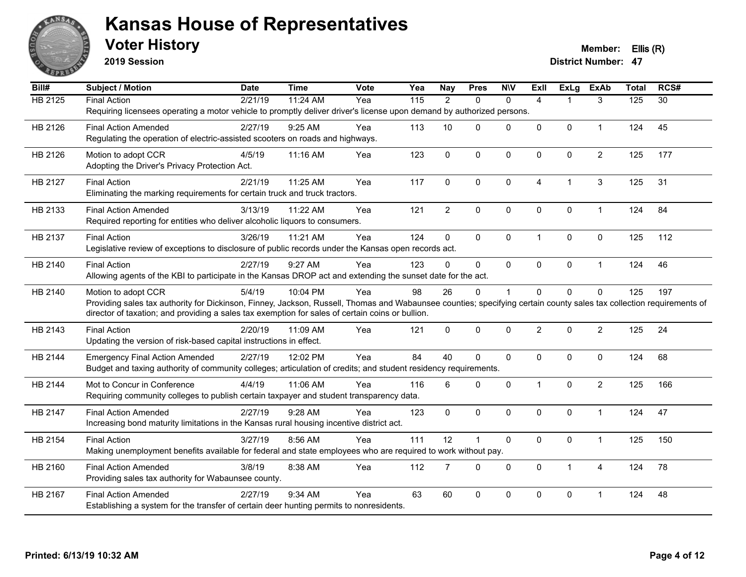

**2019 Session**

| Bill#          | <b>Subject / Motion</b>                                                                                                                                              | <b>Date</b> | <b>Time</b> | <b>Vote</b> | Yea               | <b>Nay</b>     | <b>Pres</b>  | <b>NIV</b>   | <b>ExII</b>    | <b>ExLg</b>    | <b>ExAb</b>    | <b>Total</b> | RCS#            |
|----------------|----------------------------------------------------------------------------------------------------------------------------------------------------------------------|-------------|-------------|-------------|-------------------|----------------|--------------|--------------|----------------|----------------|----------------|--------------|-----------------|
| <b>HB 2125</b> | <b>Final Action</b>                                                                                                                                                  | 2/21/19     | 11:24 AM    | Yea         | $\frac{115}{115}$ | $\overline{2}$ | $\mathbf{0}$ | $\mathbf{0}$ | $\overline{4}$ | 1              | 3              | 125          | $\overline{30}$ |
|                | Requiring licensees operating a motor vehicle to promptly deliver driver's license upon demand by authorized persons.                                                |             |             |             |                   |                |              |              |                |                |                |              |                 |
| HB 2126        | <b>Final Action Amended</b>                                                                                                                                          | 2/27/19     | 9:25 AM     | Yea         | 113               | 10             | $\mathbf 0$  | 0            | 0              | $\mathbf 0$    | 1              | 124          | 45              |
|                | Regulating the operation of electric-assisted scooters on roads and highways.                                                                                        |             |             |             |                   |                |              |              |                |                |                |              |                 |
| HB 2126        | Motion to adopt CCR                                                                                                                                                  | 4/5/19      | 11:16 AM    | Yea         | 123               | $\mathbf 0$    | $\Omega$     | $\mathbf 0$  | 0              | $\mathbf{0}$   | $\overline{2}$ | 125          | 177             |
|                | Adopting the Driver's Privacy Protection Act.                                                                                                                        |             |             |             |                   |                |              |              |                |                |                |              |                 |
| HB 2127        | <b>Final Action</b>                                                                                                                                                  | 2/21/19     | 11:25 AM    | Yea         | 117               | $\mathbf 0$    | $\mathbf 0$  | $\mathbf 0$  | $\overline{4}$ | $\overline{1}$ | 3              | 125          | 31              |
|                | Eliminating the marking requirements for certain truck and truck tractors.                                                                                           |             |             |             |                   |                |              |              |                |                |                |              |                 |
|                |                                                                                                                                                                      |             |             |             |                   |                |              |              |                |                |                |              |                 |
| HB 2133        | <b>Final Action Amended</b>                                                                                                                                          | 3/13/19     | 11:22 AM    | Yea         | 121               | $\overline{2}$ | $\mathbf 0$  | $\pmb{0}$    | 0              | $\mathbf 0$    | $\mathbf{1}$   | 124          | 84              |
|                | Required reporting for entities who deliver alcoholic liquors to consumers.                                                                                          |             |             |             |                   |                |              |              |                |                |                |              |                 |
| HB 2137        | <b>Final Action</b>                                                                                                                                                  | 3/26/19     | 11:21 AM    | Yea         | 124               | $\Omega$       | $\Omega$     | $\mathbf 0$  | $\mathbf{1}$   | $\mathbf{0}$   | $\Omega$       | 125          | 112             |
|                | Legislative review of exceptions to disclosure of public records under the Kansas open records act.                                                                  |             |             |             |                   |                |              |              |                |                |                |              |                 |
| HB 2140        | <b>Final Action</b>                                                                                                                                                  | 2/27/19     | 9:27 AM     | Yea         | 123               | $\mathbf{0}$   | $\Omega$     | $\Omega$     | 0              | $\mathbf{0}$   | $\mathbf{1}$   | 124          | 46              |
|                | Allowing agents of the KBI to participate in the Kansas DROP act and extending the sunset date for the act.                                                          |             |             |             |                   |                |              |              |                |                |                |              |                 |
| HB 2140        | Motion to adopt CCR                                                                                                                                                  | 5/4/19      | 10:04 PM    | Yea         | 98                | 26             | $\mathbf 0$  | 1            | $\Omega$       | $\mathbf{0}$   | $\mathbf 0$    | 125          | 197             |
|                | Providing sales tax authority for Dickinson, Finney, Jackson, Russell, Thomas and Wabaunsee counties; specifying certain county sales tax collection requirements of |             |             |             |                   |                |              |              |                |                |                |              |                 |
|                | director of taxation; and providing a sales tax exemption for sales of certain coins or bullion.                                                                     |             |             |             |                   |                |              |              |                |                |                |              |                 |
| HB 2143        | <b>Final Action</b>                                                                                                                                                  | 2/20/19     | 11:09 AM    | Yea         | 121               | $\mathbf 0$    | $\Omega$     | $\mathbf 0$  | $\overline{2}$ | $\mathbf{0}$   | $\overline{2}$ | 125          | 24              |
|                | Updating the version of risk-based capital instructions in effect.                                                                                                   |             |             |             |                   |                |              |              |                |                |                |              |                 |
| HB 2144        | <b>Emergency Final Action Amended</b>                                                                                                                                | 2/27/19     | 12:02 PM    | Yea         | 84                | 40             | $\Omega$     | $\mathbf 0$  | 0              | $\mathbf{0}$   | $\mathbf 0$    | 124          | 68              |
|                | Budget and taxing authority of community colleges; articulation of credits; and student residency requirements.                                                      |             |             |             |                   |                |              |              |                |                |                |              |                 |
|                |                                                                                                                                                                      |             |             |             |                   |                |              |              |                |                |                |              |                 |
| HB 2144        | Mot to Concur in Conference<br>Requiring community colleges to publish certain taxpayer and student transparency data.                                               | 4/4/19      | 11:06 AM    | Yea         | 116               | 6              | 0            | $\mathbf 0$  | $\mathbf{1}$   | $\mathbf 0$    | $\overline{2}$ | 125          | 166             |
|                |                                                                                                                                                                      |             |             |             |                   |                |              |              |                |                |                |              |                 |
| HB 2147        | <b>Final Action Amended</b>                                                                                                                                          | 2/27/19     | 9:28 AM     | Yea         | 123               | $\mathbf{0}$   | $\Omega$     | $\Omega$     | $\Omega$       | $\mathbf{0}$   | $\mathbf 1$    | 124          | 47              |
|                | Increasing bond maturity limitations in the Kansas rural housing incentive district act.                                                                             |             |             |             |                   |                |              |              |                |                |                |              |                 |
| HB 2154        | <b>Final Action</b>                                                                                                                                                  | 3/27/19     | 8:56 AM     | Yea         | 111               | 12             | 1            | $\mathbf 0$  | 0              | $\mathbf 0$    | 1              | 125          | 150             |
|                | Making unemployment benefits available for federal and state employees who are required to work without pay.                                                         |             |             |             |                   |                |              |              |                |                |                |              |                 |
| HB 2160        | <b>Final Action Amended</b>                                                                                                                                          | 3/8/19      | 8:38 AM     | Yea         | 112               | $\overline{7}$ | $\mathbf 0$  | $\mathbf 0$  | 0              | $\mathbf{1}$   | 4              | 124          | 78              |
|                | Providing sales tax authority for Wabaunsee county.                                                                                                                  |             |             |             |                   |                |              |              |                |                |                |              |                 |
| HB 2167        | <b>Final Action Amended</b>                                                                                                                                          | 2/27/19     | 9:34 AM     | Yea         | 63                | 60             | $\Omega$     | 0            | $\Omega$       | $\mathbf{0}$   | 1              | 124          | 48              |
|                | Establishing a system for the transfer of certain deer hunting permits to nonresidents.                                                                              |             |             |             |                   |                |              |              |                |                |                |              |                 |
|                |                                                                                                                                                                      |             |             |             |                   |                |              |              |                |                |                |              |                 |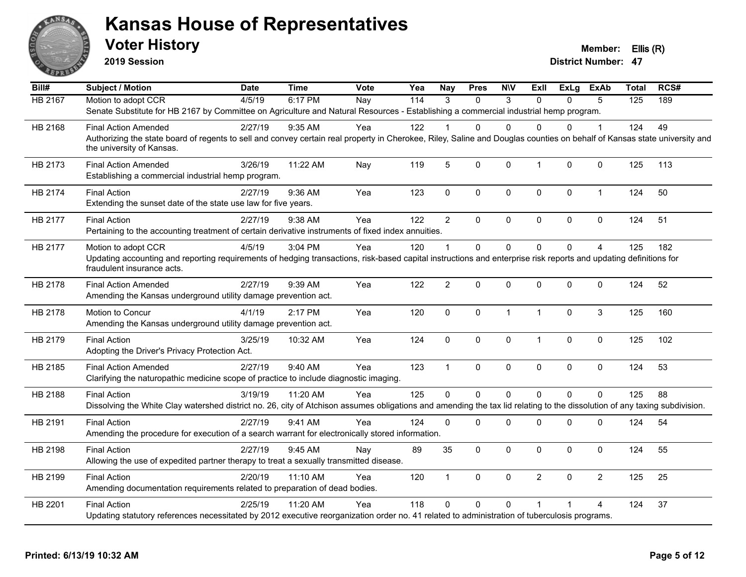

**2019 Session**

**Voter History Member: Ellis (R)** 

| Bill#          | <b>Subject / Motion</b>                                                                                                                                                                                               | <b>Date</b> | <b>Time</b> | <b>Vote</b> | Yea | Nay            | <b>Pres</b>  | <b>NIV</b>   | ExII           | ExLg        | <b>ExAb</b>    | <b>Total</b> | RCS# |
|----------------|-----------------------------------------------------------------------------------------------------------------------------------------------------------------------------------------------------------------------|-------------|-------------|-------------|-----|----------------|--------------|--------------|----------------|-------------|----------------|--------------|------|
| <b>HB 2167</b> | Motion to adopt CCR                                                                                                                                                                                                   | 4/5/19      | 6:17 PM     | Nay         | 114 | 3              | $\Omega$     | 3            | $\Omega$       | 0           | 5              | 125          | 189  |
|                | Senate Substitute for HB 2167 by Committee on Agriculture and Natural Resources - Establishing a commercial industrial hemp program.                                                                                  |             |             |             |     |                |              |              |                |             |                |              |      |
| HB 2168        | <b>Final Action Amended</b>                                                                                                                                                                                           | 2/27/19     | $9:35$ AM   | Yea         | 122 |                | 0            | $\Omega$     | $\Omega$       | 0           | 1              | 124          | 49   |
|                | Authorizing the state board of regents to sell and convey certain real property in Cherokee, Riley, Saline and Douglas counties on behalf of Kansas state university and<br>the university of Kansas.                 |             |             |             |     |                |              |              |                |             |                |              |      |
| HB 2173        | <b>Final Action Amended</b><br>Establishing a commercial industrial hemp program.                                                                                                                                     | 3/26/19     | 11:22 AM    | Nay         | 119 | 5              | 0            | 0            | $\mathbf{1}$   | 0           | 0              | 125          | 113  |
| HB 2174        | <b>Final Action</b><br>Extending the sunset date of the state use law for five years.                                                                                                                                 | 2/27/19     | $9:36$ AM   | Yea         | 123 | $\mathbf 0$    | 0            | 0            | $\mathbf 0$    | $\mathbf 0$ | $\mathbf{1}$   | 124          | 50   |
| HB 2177        | <b>Final Action</b><br>Pertaining to the accounting treatment of certain derivative instruments of fixed index annuities.                                                                                             | 2/27/19     | 9:38 AM     | Yea         | 122 | $\overline{2}$ | $\Omega$     | 0            | $\mathbf{0}$   | $\Omega$    | $\mathbf 0$    | 124          | 51   |
| HB 2177        | Motion to adopt CCR<br>Updating accounting and reporting requirements of hedging transactions, risk-based capital instructions and enterprise risk reports and updating definitions for<br>fraudulent insurance acts. | 4/5/19      | 3:04 PM     | Yea         | 120 | $\overline{1}$ | $\Omega$     | $\Omega$     | $\Omega$       | $\Omega$    | 4              | 125          | 182  |
| HB 2178        | <b>Final Action Amended</b><br>Amending the Kansas underground utility damage prevention act.                                                                                                                         | 2/27/19     | 9:39 AM     | Yea         | 122 | $\overline{2}$ | $\Omega$     | 0            | $\mathbf 0$    | $\Omega$    | $\mathbf 0$    | 124          | 52   |
| HB 2178        | Motion to Concur<br>Amending the Kansas underground utility damage prevention act.                                                                                                                                    | 4/1/19      | 2:17 PM     | Yea         | 120 | $\mathbf 0$    | 0            | $\mathbf{1}$ | $\mathbf{1}$   | $\mathbf 0$ | $\overline{3}$ | 125          | 160  |
| HB 2179        | <b>Final Action</b><br>Adopting the Driver's Privacy Protection Act.                                                                                                                                                  | 3/25/19     | 10:32 AM    | Yea         | 124 | $\mathbf 0$    | 0            | $\mathbf 0$  | $\mathbf{1}$   | 0           | 0              | 125          | 102  |
| HB 2185        | <b>Final Action Amended</b><br>Clarifying the naturopathic medicine scope of practice to include diagnostic imaging.                                                                                                  | 2/27/19     | 9:40 AM     | Yea         | 123 | $\mathbf{1}$   | 0            | 0            | $\mathbf 0$    | 0           | 0              | 124          | 53   |
| HB 2188        | <b>Final Action</b><br>Dissolving the White Clay watershed district no. 26, city of Atchison assumes obligations and amending the tax lid relating to the dissolution of any taxing subdivision.                      | 3/19/19     | 11:20 AM    | Yea         | 125 | $\mathbf{0}$   | $\mathbf{0}$ | $\Omega$     | $\mathbf{0}$   | $\Omega$    | $\Omega$       | 125          | 88   |
| HB 2191        | <b>Final Action</b><br>Amending the procedure for execution of a search warrant for electronically stored information.                                                                                                | 2/27/19     | 9:41 AM     | Yea         | 124 | $\mathbf 0$    | $\Omega$     | 0            | $\mathbf 0$    | 0           | 0              | 124          | 54   |
| HB 2198        | <b>Final Action</b><br>Allowing the use of expedited partner therapy to treat a sexually transmitted disease.                                                                                                         | 2/27/19     | 9:45 AM     | Nay         | 89  | 35             | 0            | 0            | $\mathbf 0$    | $\Omega$    | 0              | 124          | 55   |
| HB 2199        | <b>Final Action</b><br>Amending documentation requirements related to preparation of dead bodies.                                                                                                                     | 2/20/19     | 11:10 AM    | Yea         | 120 | $\mathbf{1}$   | $\mathbf{0}$ | 0            | $\overline{2}$ | $\Omega$    | $\overline{2}$ | 125          | 25   |
| HB 2201        | <b>Final Action</b><br>Updating statutory references necessitated by 2012 executive reorganization order no. 41 related to administration of tuberculosis programs.                                                   | 2/25/19     | 11:20 AM    | Yea         | 118 | $\mathbf{0}$   | $\mathbf{0}$ | $\Omega$     |                |             | 4              | 124          | 37   |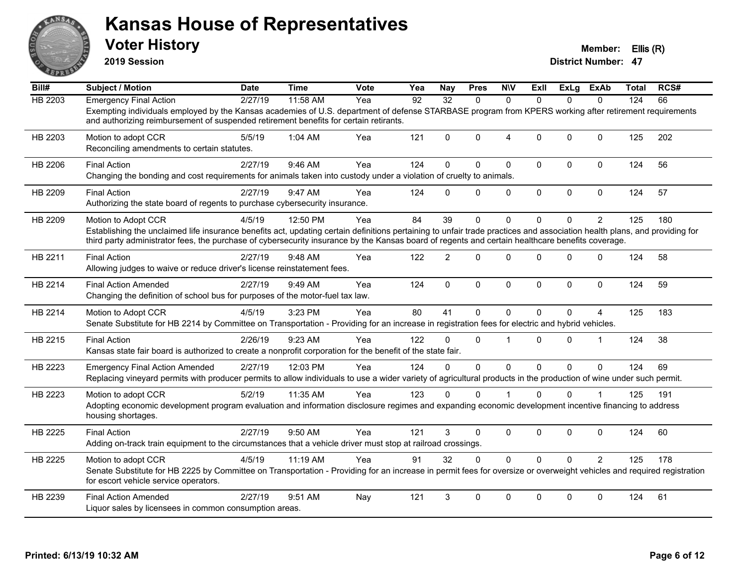

**2019 Session**

| Bill#          | <b>Subject / Motion</b>                                                                                                                                                                                                                                                                                                                              | <b>Date</b> | <b>Time</b> | <b>Vote</b> | Yea | Nav             | <b>Pres</b>  | <b>NIV</b>     | ExII         | ExLg        | ExAb           | Total | RCS# |
|----------------|------------------------------------------------------------------------------------------------------------------------------------------------------------------------------------------------------------------------------------------------------------------------------------------------------------------------------------------------------|-------------|-------------|-------------|-----|-----------------|--------------|----------------|--------------|-------------|----------------|-------|------|
| <b>HB 2203</b> | <b>Emergency Final Action</b>                                                                                                                                                                                                                                                                                                                        | 2/27/19     | 11:58 AM    | Yea         | 92  | $\overline{32}$ | $\Omega$     | $\Omega$       | $\Omega$     | $\Omega$    | $\Omega$       | 124   | 66   |
|                | Exempting individuals employed by the Kansas academies of U.S. department of defense STARBASE program from KPERS working after retirement requirements<br>and authorizing reimbursement of suspended retirement benefits for certain retirants.                                                                                                      |             |             |             |     |                 |              |                |              |             |                |       |      |
| HB 2203        | Motion to adopt CCR<br>Reconciling amendments to certain statutes.                                                                                                                                                                                                                                                                                   | 5/5/19      | 1:04 AM     | Yea         | 121 | $\Omega$        | $\Omega$     | $\overline{4}$ | $\Omega$     | $\Omega$    | $\mathbf{0}$   | 125   | 202  |
| HB 2206        | <b>Final Action</b><br>Changing the bonding and cost requirements for animals taken into custody under a violation of cruelty to animals.                                                                                                                                                                                                            | 2/27/19     | 9:46 AM     | Yea         | 124 | $\Omega$        | $\Omega$     | $\mathbf 0$    | $\Omega$     | $\Omega$    | $\mathbf 0$    | 124   | 56   |
| HB 2209        | <b>Final Action</b><br>Authorizing the state board of regents to purchase cybersecurity insurance.                                                                                                                                                                                                                                                   | 2/27/19     | 9:47 AM     | Yea         | 124 | $\Omega$        | 0            | $\mathbf 0$    | $\mathbf{0}$ | 0           | $\mathbf 0$    | 124   | 57   |
| HB 2209        | Motion to Adopt CCR<br>Establishing the unclaimed life insurance benefits act, updating certain definitions pertaining to unfair trade practices and association health plans, and providing for<br>third party administrator fees, the purchase of cybersecurity insurance by the Kansas board of regents and certain healthcare benefits coverage. | 4/5/19      | 12:50 PM    | Yea         | 84  | 39              | 0            | $\Omega$       | 0            | 0           | $\overline{2}$ | 125   | 180  |
| HB 2211        | <b>Final Action</b><br>Allowing judges to waive or reduce driver's license reinstatement fees.                                                                                                                                                                                                                                                       | 2/27/19     | 9:48 AM     | Yea         | 122 | $\overline{2}$  | $\Omega$     | $\mathbf 0$    | $\Omega$     | $\Omega$    | $\mathbf 0$    | 124   | 58   |
| HB 2214        | <b>Final Action Amended</b><br>Changing the definition of school bus for purposes of the motor-fuel tax law.                                                                                                                                                                                                                                         | 2/27/19     | 9:49 AM     | Yea         | 124 | $\mathbf 0$     | $\mathbf 0$  | $\pmb{0}$      | $\Omega$     | 0           | $\mathbf 0$    | 124   | 59   |
| HB 2214        | Motion to Adopt CCR<br>Senate Substitute for HB 2214 by Committee on Transportation - Providing for an increase in registration fees for electric and hybrid vehicles.                                                                                                                                                                               | 4/5/19      | 3:23 PM     | Yea         | 80  | 41              | 0            | $\mathbf 0$    | $\Omega$     | $\Omega$    | 4              | 125   | 183  |
| HB 2215        | <b>Final Action</b><br>Kansas state fair board is authorized to create a nonprofit corporation for the benefit of the state fair.                                                                                                                                                                                                                    | 2/26/19     | 9:23 AM     | Yea         | 122 | $\Omega$        | 0            | $\overline{1}$ | $\Omega$     | $\Omega$    | $\mathbf 1$    | 124   | 38   |
| HB 2223        | <b>Emergency Final Action Amended</b><br>Replacing vineyard permits with producer permits to allow individuals to use a wider variety of agricultural products in the production of wine under such permit.                                                                                                                                          | 2/27/19     | 12:03 PM    | Yea         | 124 | $\Omega$        | $\Omega$     | $\Omega$       | $\Omega$     | $\Omega$    | $\Omega$       | 124   | 69   |
| HB 2223        | Motion to adopt CCR<br>Adopting economic development program evaluation and information disclosure regimes and expanding economic development incentive financing to address<br>housing shortages.                                                                                                                                                   | 5/2/19      | 11:35 AM    | Yea         | 123 | 0               | $\Omega$     |                | $\Omega$     | 0           |                | 125   | 191  |
| HB 2225        | <b>Final Action</b><br>Adding on-track train equipment to the circumstances that a vehicle driver must stop at railroad crossings.                                                                                                                                                                                                                   | 2/27/19     | 9:50 AM     | Yea         | 121 | 3               | $\mathbf 0$  | $\pmb{0}$      | $\Omega$     | $\mathbf 0$ | $\mathbf 0$    | 124   | 60   |
| HB 2225        | Motion to adopt CCR<br>Senate Substitute for HB 2225 by Committee on Transportation - Providing for an increase in permit fees for oversize or overweight vehicles and required registration<br>for escort vehicle service operators.                                                                                                                | 4/5/19      | 11:19 AM    | Yea         | 91  | 32              | $\Omega$     | $\mathbf 0$    | $\Omega$     | $\Omega$    | 2              | 125   | 178  |
| HB 2239        | <b>Final Action Amended</b><br>Liquor sales by licensees in common consumption areas.                                                                                                                                                                                                                                                                | 2/27/19     | 9:51 AM     | Nay         | 121 | 3               | $\mathbf{0}$ | $\Omega$       | $\Omega$     | $\Omega$    | $\mathbf{0}$   | 124   | 61   |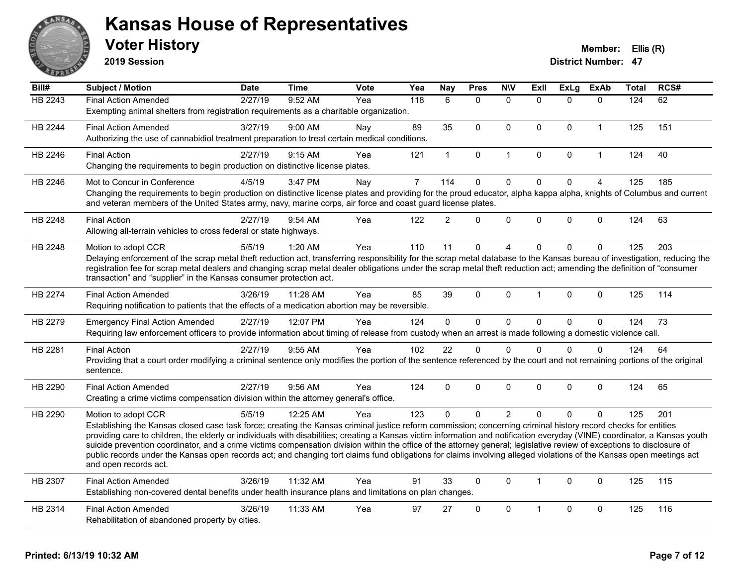

**2019 Session**

| Bill#   | Subject / Motion                                                                                                                                                                                                                           | <b>Date</b> | <b>Time</b> | Vote | Yea            | Nay          | <b>Pres</b>  | <b>NIV</b>     | <b>ExII</b>    | <b>ExLg</b>  | <b>ExAb</b>    | Total | RCS# |
|---------|--------------------------------------------------------------------------------------------------------------------------------------------------------------------------------------------------------------------------------------------|-------------|-------------|------|----------------|--------------|--------------|----------------|----------------|--------------|----------------|-------|------|
| HB 2243 | <b>Final Action Amended</b>                                                                                                                                                                                                                | 2/27/19     | 9:52 AM     | Yea  | 118            | 6            | $\Omega$     | $\Omega$       | $\Omega$       | $\Omega$     | $\Omega$       | 124   | 62   |
|         | Exempting animal shelters from registration requirements as a charitable organization.                                                                                                                                                     |             |             |      |                |              |              |                |                |              |                |       |      |
| HB 2244 | <b>Final Action Amended</b>                                                                                                                                                                                                                | 3/27/19     | $9:00$ AM   | Nay  | 89             | 35           | $\mathbf{0}$ | $\Omega$       | $\mathbf{0}$   | $\mathbf{0}$ | $\mathbf{1}$   | 125   | 151  |
|         | Authorizing the use of cannabidiol treatment preparation to treat certain medical conditions.                                                                                                                                              |             |             |      |                |              |              |                |                |              |                |       |      |
| HB 2246 | <b>Final Action</b>                                                                                                                                                                                                                        | 2/27/19     | 9:15 AM     | Yea  | 121            | $\mathbf{1}$ | 0            | $\mathbf{1}$   | $\mathbf 0$    | $\mathbf 0$  | $\mathbf{1}$   | 124   | 40   |
|         | Changing the requirements to begin production on distinctive license plates.                                                                                                                                                               |             |             |      |                |              |              |                |                |              |                |       |      |
| HB 2246 | Mot to Concur in Conference                                                                                                                                                                                                                | 4/5/19      | 3:47 PM     | Nay  | $\overline{7}$ | 114          | $\mathbf 0$  | $\mathbf 0$    | $\mathbf 0$    | $\mathbf 0$  | $\overline{4}$ | 125   | 185  |
|         | Changing the requirements to begin production on distinctive license plates and providing for the proud educator, alpha kappa alpha, knights of Columbus and current                                                                       |             |             |      |                |              |              |                |                |              |                |       |      |
|         | and veteran members of the United States army, navy, marine corps, air force and coast guard license plates.                                                                                                                               |             |             |      |                |              |              |                |                |              |                |       |      |
| HB 2248 | <b>Final Action</b>                                                                                                                                                                                                                        | 2/27/19     | 9:54 AM     | Yea  | 122            | 2            | $\Omega$     | $\mathbf 0$    | $\Omega$       | $\mathbf{0}$ | $\mathbf{0}$   | 124   | 63   |
|         | Allowing all-terrain vehicles to cross federal or state highways.                                                                                                                                                                          |             |             |      |                |              |              |                |                |              |                |       |      |
| HB 2248 | Motion to adopt CCR                                                                                                                                                                                                                        | 5/5/19      | 1:20 AM     | Yea  | 110            | 11           | $\mathbf 0$  | 4              | $\Omega$       | $\mathbf 0$  | 0              | 125   | 203  |
|         | Delaying enforcement of the scrap metal theft reduction act, transferring responsibility for the scrap metal database to the Kansas bureau of investigation, reducing the                                                                  |             |             |      |                |              |              |                |                |              |                |       |      |
|         | registration fee for scrap metal dealers and changing scrap metal dealer obligations under the scrap metal theft reduction act; amending the definition of "consumer<br>transaction" and "supplier" in the Kansas consumer protection act. |             |             |      |                |              |              |                |                |              |                |       |      |
|         |                                                                                                                                                                                                                                            |             |             |      |                |              |              |                |                |              |                |       |      |
| HB 2274 | <b>Final Action Amended</b>                                                                                                                                                                                                                | 3/26/19     | 11:28 AM    | Yea  | 85             | 39           | $\Omega$     | $\mathbf 0$    | $\mathbf 1$    | $\mathbf{0}$ | $\Omega$       | 125   | 114  |
|         | Requiring notification to patients that the effects of a medication abortion may be reversible.                                                                                                                                            |             |             |      |                |              |              |                |                |              |                |       |      |
| HB 2279 | <b>Emergency Final Action Amended</b>                                                                                                                                                                                                      | 2/27/19     | 12:07 PM    | Yea  | 124            | $\mathbf 0$  | $\mathbf 0$  | $\mathsf 0$    | $\Omega$       | $\mathbf 0$  | $\mathbf 0$    | 124   | 73   |
|         | Requiring law enforcement officers to provide information about timing of release from custody when an arrest is made following a domestic violence call.                                                                                  |             |             |      |                |              |              |                |                |              |                |       |      |
| HB 2281 | <b>Final Action</b>                                                                                                                                                                                                                        | 2/27/19     | 9:55 AM     | Yea  | 102            | 22           | $\Omega$     | $\Omega$       | $\Omega$       | $\Omega$     | $\Omega$       | 124   | 64   |
|         | Providing that a court order modifying a criminal sentence only modifies the portion of the sentence referenced by the court and not remaining portions of the original                                                                    |             |             |      |                |              |              |                |                |              |                |       |      |
|         | sentence.                                                                                                                                                                                                                                  |             |             |      |                |              |              |                |                |              |                |       |      |
| HB 2290 | <b>Final Action Amended</b>                                                                                                                                                                                                                | 2/27/19     | 9:56 AM     | Yea  | 124            | $\Omega$     | $\mathbf{0}$ | $\Omega$       | $\Omega$       | $\mathbf{0}$ | $\mathbf{0}$   | 124   | 65   |
|         | Creating a crime victims compensation division within the attorney general's office.                                                                                                                                                       |             |             |      |                |              |              |                |                |              |                |       |      |
| HB 2290 | Motion to adopt CCR                                                                                                                                                                                                                        | 5/5/19      | 12:25 AM    | Yea  | 123            | $\Omega$     | $\Omega$     | $\overline{2}$ | $\Omega$       | $\Omega$     | $\Omega$       | 125   | 201  |
|         | Establishing the Kansas closed case task force; creating the Kansas criminal justice reform commission; concerning criminal history record checks for entities                                                                             |             |             |      |                |              |              |                |                |              |                |       |      |
|         | providing care to children, the elderly or individuals with disabilities; creating a Kansas victim information and notification everyday (VINE) coordinator, a Kansas youth                                                                |             |             |      |                |              |              |                |                |              |                |       |      |
|         | suicide prevention coordinator, and a crime victims compensation division within the office of the attorney general; legislative review of exceptions to disclosure of                                                                     |             |             |      |                |              |              |                |                |              |                |       |      |
|         | public records under the Kansas open records act; and changing tort claims fund obligations for claims involving alleged violations of the Kansas open meetings act<br>and open records act.                                               |             |             |      |                |              |              |                |                |              |                |       |      |
|         |                                                                                                                                                                                                                                            |             |             |      |                |              |              |                |                |              |                |       |      |
| HB 2307 | <b>Final Action Amended</b>                                                                                                                                                                                                                | 3/26/19     | 11:32 AM    | Yea  | 91             | 33           | $\mathbf{0}$ | $\Omega$       | $\mathbf{1}$   | $\mathbf{0}$ | $\Omega$       | 125   | 115  |
|         | Establishing non-covered dental benefits under health insurance plans and limitations on plan changes.                                                                                                                                     |             |             |      |                |              |              |                |                |              |                |       |      |
| HB 2314 | <b>Final Action Amended</b>                                                                                                                                                                                                                | 3/26/19     | 11:33 AM    | Yea  | 97             | 27           | $\mathbf{0}$ | $\mathbf 0$    | $\overline{1}$ | $\Omega$     | $\mathbf{0}$   | 125   | 116  |
|         | Rehabilitation of abandoned property by cities.                                                                                                                                                                                            |             |             |      |                |              |              |                |                |              |                |       |      |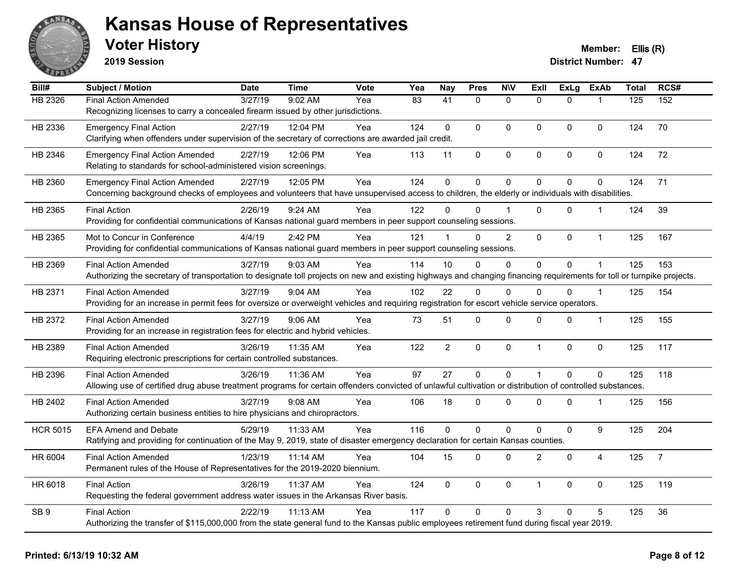

**2019 Session**

| Bill#           | Subject / Motion                                                                                                                                                       | <b>Date</b> | <b>Time</b> | <b>Vote</b> | Yea             | <b>Nay</b>      | <b>Pres</b>  | <b>NIV</b>     | <b>Exll</b>    | <b>ExLg</b> | <b>ExAb</b>      | <b>Total</b> | RCS#           |
|-----------------|------------------------------------------------------------------------------------------------------------------------------------------------------------------------|-------------|-------------|-------------|-----------------|-----------------|--------------|----------------|----------------|-------------|------------------|--------------|----------------|
| HB 2326         | <b>Final Action Amended</b>                                                                                                                                            | 3/27/19     | 9:02 AM     | Yea         | $\overline{83}$ | $\overline{41}$ | $\mathbf{0}$ | $\mathbf{0}$   | $\mathbf{0}$   | $\Omega$    |                  | 125          | 152            |
|                 | Recognizing licenses to carry a concealed firearm issued by other jurisdictions.                                                                                       |             |             |             |                 |                 |              |                |                |             |                  |              |                |
| HB 2336         | <b>Emergency Final Action</b>                                                                                                                                          | 2/27/19     | 12:04 PM    | Yea         | 124             | $\Omega$        | $\Omega$     | $\mathbf{0}$   | $\Omega$       | $\Omega$    | $\mathbf 0$      | 124          | 70             |
|                 | Clarifying when offenders under supervision of the secretary of corrections are awarded jail credit.                                                                   |             |             |             |                 |                 |              |                |                |             |                  |              |                |
| HB 2346         | <b>Emergency Final Action Amended</b>                                                                                                                                  | 2/27/19     | 12:06 PM    | Yea         | 113             | 11              | 0            | 0              | 0              | 0           | 0                | 124          | 72             |
|                 | Relating to standards for school-administered vision screenings.                                                                                                       |             |             |             |                 |                 |              |                |                |             |                  |              |                |
| HB 2360         | <b>Emergency Final Action Amended</b>                                                                                                                                  | 2/27/19     | 12:05 PM    | Yea         | 124             | $\mathbf 0$     | 0            | $\mathbf 0$    | $\Omega$       | $\Omega$    | $\mathbf 0$      | 124          | 71             |
|                 | Concerning background checks of employees and volunteers that have unsupervised access to children, the elderly or individuals with disabilities.                      |             |             |             |                 |                 |              |                |                |             |                  |              |                |
| HB 2365         | <b>Final Action</b>                                                                                                                                                    | 2/26/19     | $9:24$ AM   | Yea         | 122             | U               | $\Omega$     |                | $\Omega$       | $\Omega$    | 1                | 124          | 39             |
|                 | Providing for confidential communications of Kansas national guard members in peer support counseling sessions.                                                        |             |             |             |                 |                 |              |                |                |             |                  |              |                |
| HB 2365         | Mot to Concur in Conference                                                                                                                                            | 4/4/19      | 2:42 PM     | Yea         | 121             |                 | $\Omega$     | $\overline{2}$ | $\mathbf{0}$   | 0           | $\mathbf{1}$     | 125          | 167            |
|                 | Providing for confidential communications of Kansas national guard members in peer support counseling sessions.                                                        |             |             |             |                 |                 |              |                |                |             |                  |              |                |
| HB 2369         | <b>Final Action Amended</b>                                                                                                                                            | 3/27/19     | 9:03 AM     | Yea         | 114             | 10              | $\Omega$     | $\Omega$       | $\overline{0}$ | $\Omega$    |                  | 125          | 153            |
|                 | Authorizing the secretary of transportation to designate toll projects on new and existing highways and changing financing requirements for toll or turnpike projects. |             |             |             |                 |                 |              |                |                |             |                  |              |                |
| HB 2371         | <b>Final Action Amended</b>                                                                                                                                            | 3/27/19     | 9:04 AM     | Yea         | 102             | 22              | $\Omega$     | $\Omega$       | $\Omega$       | $\Omega$    | $\overline{1}$   | 125          | 154            |
|                 | Providing for an increase in permit fees for oversize or overweight vehicles and requiring registration for escort vehicle service operators.                          |             |             |             |                 |                 |              |                |                |             |                  |              |                |
| HB 2372         | <b>Final Action Amended</b>                                                                                                                                            | 3/27/19     | 9:06 AM     | Yea         | 73              | 51              | 0            | $\mathbf 0$    | $\Omega$       | 0           | $\mathbf{1}$     | 125          | 155            |
|                 | Providing for an increase in registration fees for electric and hybrid vehicles.                                                                                       |             |             |             |                 |                 |              |                |                |             |                  |              |                |
| HB 2389         | <b>Final Action Amended</b>                                                                                                                                            | 3/26/19     | 11:35 AM    | Yea         | 122             | $\overline{2}$  | $\pmb{0}$    | $\pmb{0}$      | 1              | $\mathbf 0$ | $\pmb{0}$        | 125          | 117            |
|                 | Requiring electronic prescriptions for certain controlled substances.                                                                                                  |             |             |             |                 |                 |              |                |                |             |                  |              |                |
| HB 2396         | <b>Final Action Amended</b>                                                                                                                                            | 3/26/19     | 11:36 AM    | Yea         | 97              | 27              | $\mathbf 0$  | $\mathbf 0$    | $\mathbf{1}$   | $\Omega$    | $\mathbf 0$      | 125          | 118            |
|                 | Allowing use of certified drug abuse treatment programs for certain offenders convicted of unlawful cultivation or distribution of controlled substances.              |             |             |             |                 |                 |              |                |                |             |                  |              |                |
| HB 2402         | <b>Final Action Amended</b>                                                                                                                                            | 3/27/19     | $9:08$ AM   | Yea         | 106             | 18              | $\Omega$     | $\mathbf{0}$   | $\Omega$       | $\Omega$    | 1                | 125          | 156            |
|                 | Authorizing certain business entities to hire physicians and chiropractors.                                                                                            |             |             |             |                 |                 |              |                |                |             |                  |              |                |
| <b>HCR 5015</b> | <b>EFA Amend and Debate</b>                                                                                                                                            | 5/29/19     | 11:33 AM    | Yea         | 116             | $\Omega$        | 0            | $\mathbf 0$    | 0              | 0           | $\boldsymbol{9}$ | 125          | 204            |
|                 | Ratifying and providing for continuation of the May 9, 2019, state of disaster emergency declaration for certain Kansas counties.                                      |             |             |             |                 |                 |              |                |                |             |                  |              |                |
| HR 6004         | <b>Final Action Amended</b>                                                                                                                                            | 1/23/19     | 11:14 AM    | Yea         | 104             | 15              | $\Omega$     | $\mathbf 0$    | $\overline{2}$ | $\Omega$    | $\overline{4}$   | 125          | $\overline{7}$ |
|                 | Permanent rules of the House of Representatives for the 2019-2020 biennium.                                                                                            |             |             |             |                 |                 |              |                |                |             |                  |              |                |
| HR 6018         | <b>Final Action</b>                                                                                                                                                    | 3/26/19     | 11:37 AM    | Yea         | 124             | $\mathbf 0$     | $\mathbf 0$  | $\mathbf 0$    | 1              | 0           | $\mathbf 0$      | 125          | 119            |
|                 | Requesting the federal government address water issues in the Arkansas River basis.                                                                                    |             |             |             |                 |                 |              |                |                |             |                  |              |                |
| SB <sub>9</sub> | <b>Final Action</b>                                                                                                                                                    | 2/22/19     | 11:13 AM    | Yea         | 117             | $\Omega$        | $\Omega$     | $\mathbf{0}$   | 3              | $\Omega$    | 5                | 125          | 36             |
|                 | Authorizing the transfer of \$115,000,000 from the state general fund to the Kansas public employees retirement fund during fiscal year 2019.                          |             |             |             |                 |                 |              |                |                |             |                  |              |                |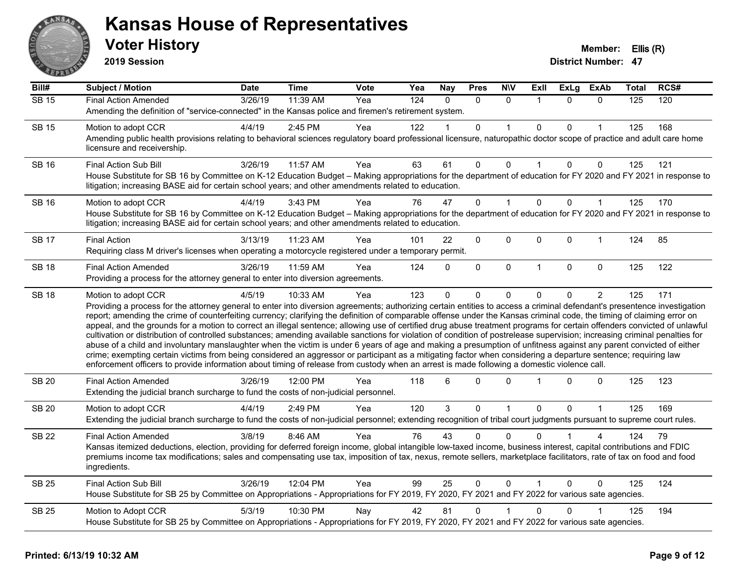

**2019 Session**

| Bill#        | Subject / Motion                                                                                                                                                                                                                                                                                                                                                                                                                                                                                                                                                                                                                                                                                                                                                                                                                                                                                                                                                                                                                                                                                                                                                                                     | <b>Date</b> | <b>Time</b> | Vote | Yea | <b>Nay</b>   | <b>Pres</b>  | <b>N\V</b>   | ExII           | <b>ExLg</b> | <b>ExAb</b>    | <b>Total</b> | RCS# |
|--------------|------------------------------------------------------------------------------------------------------------------------------------------------------------------------------------------------------------------------------------------------------------------------------------------------------------------------------------------------------------------------------------------------------------------------------------------------------------------------------------------------------------------------------------------------------------------------------------------------------------------------------------------------------------------------------------------------------------------------------------------------------------------------------------------------------------------------------------------------------------------------------------------------------------------------------------------------------------------------------------------------------------------------------------------------------------------------------------------------------------------------------------------------------------------------------------------------------|-------------|-------------|------|-----|--------------|--------------|--------------|----------------|-------------|----------------|--------------|------|
| <b>SB 15</b> | <b>Final Action Amended</b>                                                                                                                                                                                                                                                                                                                                                                                                                                                                                                                                                                                                                                                                                                                                                                                                                                                                                                                                                                                                                                                                                                                                                                          | 3/26/19     | 11:39 AM    | Yea  | 124 | $\Omega$     | $\Omega$     | $\mathbf{0}$ | $\overline{1}$ | $\Omega$    | $\mathbf{0}$   | 125          | 120  |
|              | Amending the definition of "service-connected" in the Kansas police and firemen's retirement system.                                                                                                                                                                                                                                                                                                                                                                                                                                                                                                                                                                                                                                                                                                                                                                                                                                                                                                                                                                                                                                                                                                 |             |             |      |     |              |              |              |                |             |                |              |      |
| <b>SB 15</b> | Motion to adopt CCR                                                                                                                                                                                                                                                                                                                                                                                                                                                                                                                                                                                                                                                                                                                                                                                                                                                                                                                                                                                                                                                                                                                                                                                  | 4/4/19      | 2:45 PM     | Yea  | 122 |              | 0            |              | $\Omega$       | 0           |                | 125          | 168  |
|              | Amending public health provisions relating to behavioral sciences regulatory board professional licensure, naturopathic doctor scope of practice and adult care home<br>licensure and receivership.                                                                                                                                                                                                                                                                                                                                                                                                                                                                                                                                                                                                                                                                                                                                                                                                                                                                                                                                                                                                  |             |             |      |     |              |              |              |                |             |                |              |      |
| <b>SB 16</b> | Final Action Sub Bill                                                                                                                                                                                                                                                                                                                                                                                                                                                                                                                                                                                                                                                                                                                                                                                                                                                                                                                                                                                                                                                                                                                                                                                | 3/26/19     | 11:57 AM    | Yea  | 63  | 61           | 0            | 0            | $\overline{1}$ | $\Omega$    | $\mathbf 0$    | 125          | 121  |
|              | House Substitute for SB 16 by Committee on K-12 Education Budget - Making appropriations for the department of education for FY 2020 and FY 2021 in response to<br>litigation; increasing BASE aid for certain school years; and other amendments related to education.                                                                                                                                                                                                                                                                                                                                                                                                                                                                                                                                                                                                                                                                                                                                                                                                                                                                                                                              |             |             |      |     |              |              |              |                |             |                |              |      |
| <b>SB 16</b> | Motion to adopt CCR                                                                                                                                                                                                                                                                                                                                                                                                                                                                                                                                                                                                                                                                                                                                                                                                                                                                                                                                                                                                                                                                                                                                                                                  | 4/4/19      | 3:43 PM     | Yea  | 76  | 47           | 0            |              | $\Omega$       | $\mathbf 0$ | $\mathbf{1}$   | 125          | 170  |
|              | House Substitute for SB 16 by Committee on K-12 Education Budget - Making appropriations for the department of education for FY 2020 and FY 2021 in response to<br>litigation; increasing BASE aid for certain school years; and other amendments related to education.                                                                                                                                                                                                                                                                                                                                                                                                                                                                                                                                                                                                                                                                                                                                                                                                                                                                                                                              |             |             |      |     |              |              |              |                |             |                |              |      |
| <b>SB 17</b> | <b>Final Action</b>                                                                                                                                                                                                                                                                                                                                                                                                                                                                                                                                                                                                                                                                                                                                                                                                                                                                                                                                                                                                                                                                                                                                                                                  | 3/13/19     | 11:23 AM    | Yea  | 101 | 22           | 0            | 0            | $\mathbf 0$    | 0           | 1              | 124          | 85   |
|              | Requiring class M driver's licenses when operating a motorcycle registered under a temporary permit.                                                                                                                                                                                                                                                                                                                                                                                                                                                                                                                                                                                                                                                                                                                                                                                                                                                                                                                                                                                                                                                                                                 |             |             |      |     |              |              |              |                |             |                |              |      |
| <b>SB 18</b> | <b>Final Action Amended</b>                                                                                                                                                                                                                                                                                                                                                                                                                                                                                                                                                                                                                                                                                                                                                                                                                                                                                                                                                                                                                                                                                                                                                                          | 3/26/19     | 11:59 AM    | Yea  | 124 | $\mathbf{0}$ | $\Omega$     | 0            | $\overline{1}$ | $\mathbf 0$ | $\mathbf 0$    | 125          | 122  |
|              | Providing a process for the attorney general to enter into diversion agreements.                                                                                                                                                                                                                                                                                                                                                                                                                                                                                                                                                                                                                                                                                                                                                                                                                                                                                                                                                                                                                                                                                                                     |             |             |      |     |              |              |              |                |             |                |              |      |
| <b>SB 18</b> | Motion to adopt CCR                                                                                                                                                                                                                                                                                                                                                                                                                                                                                                                                                                                                                                                                                                                                                                                                                                                                                                                                                                                                                                                                                                                                                                                  | 4/5/19      | 10:33 AM    | Yea  | 123 | $\Omega$     | $\mathbf{0}$ | $\Omega$     | $\Omega$       | 0           | $\overline{2}$ | 125          | 171  |
|              | Providing a process for the attorney general to enter into diversion agreements; authorizing certain entities to access a criminal defendant's presentence investigation<br>report; amending the crime of counterfeiting currency; clarifying the definition of comparable offense under the Kansas criminal code, the timing of claiming error on<br>appeal, and the grounds for a motion to correct an illegal sentence; allowing use of certified drug abuse treatment programs for certain offenders convicted of unlawful<br>cultivation or distribution of controlled substances; amending available sanctions for violation of condition of postrelease supervision; increasing criminal penalties for<br>abuse of a child and involuntary manslaughter when the victim is under 6 years of age and making a presumption of unfitness against any parent convicted of either<br>crime; exempting certain victims from being considered an aggressor or participant as a mitigating factor when considering a departure sentence; requiring law<br>enforcement officers to provide information about timing of release from custody when an arrest is made following a domestic violence call. |             |             |      |     |              |              |              |                |             |                |              |      |
| <b>SB 20</b> | <b>Final Action Amended</b><br>Extending the judicial branch surcharge to fund the costs of non-judicial personnel.                                                                                                                                                                                                                                                                                                                                                                                                                                                                                                                                                                                                                                                                                                                                                                                                                                                                                                                                                                                                                                                                                  | 3/26/19     | 12:00 PM    | Yea  | 118 | 6            | $\Omega$     | $\Omega$     |                | $\Omega$    | $\mathbf{0}$   | 125          | 123  |
| <b>SB 20</b> | Motion to adopt CCR                                                                                                                                                                                                                                                                                                                                                                                                                                                                                                                                                                                                                                                                                                                                                                                                                                                                                                                                                                                                                                                                                                                                                                                  | 4/4/19      | 2:49 PM     | Yea  | 120 | 3            | 0            | $\mathbf{1}$ | $\Omega$       | 0           | $\mathbf{1}$   | 125          | 169  |
|              | Extending the judicial branch surcharge to fund the costs of non-judicial personnel; extending recognition of tribal court judgments pursuant to supreme court rules.                                                                                                                                                                                                                                                                                                                                                                                                                                                                                                                                                                                                                                                                                                                                                                                                                                                                                                                                                                                                                                |             |             |      |     |              |              |              |                |             |                |              |      |
| <b>SB 22</b> | <b>Final Action Amended</b>                                                                                                                                                                                                                                                                                                                                                                                                                                                                                                                                                                                                                                                                                                                                                                                                                                                                                                                                                                                                                                                                                                                                                                          | 3/8/19      | 8:46 AM     | Yea  | 76  | 43           | 0            | $\Omega$     |                |             |                | 124          | 79   |
|              | Kansas itemized deductions, election, providing for deferred foreign income, global intangible low-taxed income, business interest, capital contributions and FDIC<br>premiums income tax modifications; sales and compensating use tax, imposition of tax, nexus, remote sellers, marketplace facilitators, rate of tax on food and food<br>ingredients.                                                                                                                                                                                                                                                                                                                                                                                                                                                                                                                                                                                                                                                                                                                                                                                                                                            |             |             |      |     |              |              |              |                |             |                |              |      |
| <b>SB 25</b> | Final Action Sub Bill                                                                                                                                                                                                                                                                                                                                                                                                                                                                                                                                                                                                                                                                                                                                                                                                                                                                                                                                                                                                                                                                                                                                                                                | 3/26/19     | 12:04 PM    | Yea  | 99  | 25           | $\Omega$     | $\mathbf{0}$ |                | $\Omega$    | $\Omega$       | 125          | 124  |
|              | House Substitute for SB 25 by Committee on Appropriations - Appropriations for FY 2019, FY 2020, FY 2021 and FY 2022 for various sate agencies.                                                                                                                                                                                                                                                                                                                                                                                                                                                                                                                                                                                                                                                                                                                                                                                                                                                                                                                                                                                                                                                      |             |             |      |     |              |              |              |                |             |                |              |      |
| <b>SB 25</b> | Motion to Adopt CCR                                                                                                                                                                                                                                                                                                                                                                                                                                                                                                                                                                                                                                                                                                                                                                                                                                                                                                                                                                                                                                                                                                                                                                                  | 5/3/19      | 10:30 PM    | Nay  | 42  | 81           | 0            |              | $\Omega$       | 0           |                | 125          | 194  |
|              | House Substitute for SB 25 by Committee on Appropriations - Appropriations for FY 2019, FY 2020, FY 2021 and FY 2022 for various sate agencies.                                                                                                                                                                                                                                                                                                                                                                                                                                                                                                                                                                                                                                                                                                                                                                                                                                                                                                                                                                                                                                                      |             |             |      |     |              |              |              |                |             |                |              |      |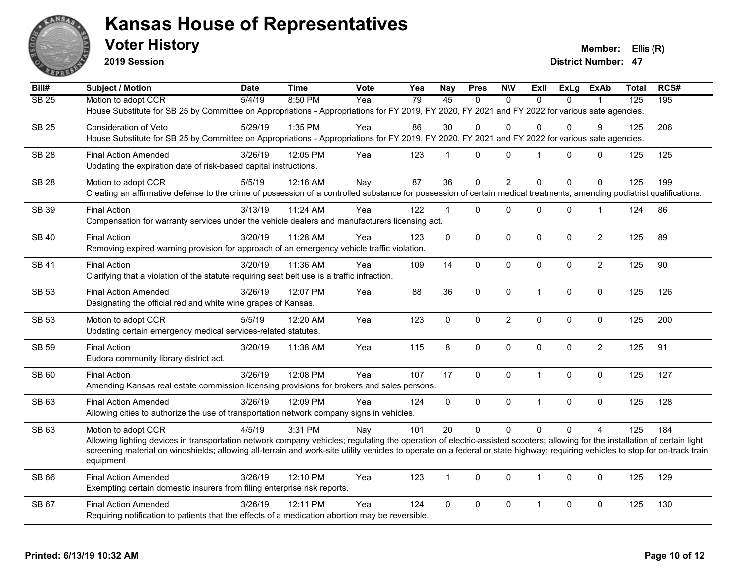

**2019 Session**

**Voter History Member: Ellis (R)** 

| Bill#             | <b>Subject / Motion</b>                                                                                                                                                                     | <b>Date</b> | <b>Time</b> | <b>Vote</b> | Yea | <b>Nay</b>     | <b>Pres</b>  | <b>NIV</b>     | <b>Exll</b>  | <b>ExLg</b>  | <b>ExAb</b>    | <b>Total</b>     | RCS# |
|-------------------|---------------------------------------------------------------------------------------------------------------------------------------------------------------------------------------------|-------------|-------------|-------------|-----|----------------|--------------|----------------|--------------|--------------|----------------|------------------|------|
| $\overline{SB25}$ | Motion to adopt CCR                                                                                                                                                                         | 5/4/19      | 8:50 PM     | Yea         | 79  | 45             | $\Omega$     | $\Omega$       | $\Omega$     | $\Omega$     |                | $\overline{125}$ | 195  |
|                   | House Substitute for SB 25 by Committee on Appropriations - Appropriations for FY 2019, FY 2020, FY 2021 and FY 2022 for various sate agencies.                                             |             |             |             |     |                |              |                |              |              |                |                  |      |
| <b>SB 25</b>      | Consideration of Veto                                                                                                                                                                       | 5/29/19     | 1:35 PM     | Yea         | 86  | 30             | 0            | $\Omega$       | $\Omega$     | $\Omega$     | 9              | 125              | 206  |
|                   | House Substitute for SB 25 by Committee on Appropriations - Appropriations for FY 2019, FY 2020, FY 2021 and FY 2022 for various sate agencies.                                             |             |             |             |     |                |              |                |              |              |                |                  |      |
| <b>SB 28</b>      | Final Action Amended                                                                                                                                                                        | 3/26/19     | 12:05 PM    | Yea         | 123 | 1              | $\Omega$     | $\mathbf{0}$   | 1            | $\Omega$     | $\mathbf{0}$   | 125              | 125  |
|                   | Updating the expiration date of risk-based capital instructions.                                                                                                                            |             |             |             |     |                |              |                |              |              |                |                  |      |
| <b>SB 28</b>      | Motion to adopt CCR                                                                                                                                                                         | 5/5/19      | 12:16 AM    | Nay         | 87  | 36             | $\mathbf 0$  | $\overline{2}$ | $\Omega$     | $\Omega$     | $\mathbf{0}$   | 125              | 199  |
|                   | Creating an affirmative defense to the crime of possession of a controlled substance for possession of certain medical treatments; amending podiatrist qualifications.                      |             |             |             |     |                |              |                |              |              |                |                  |      |
| <b>SB 39</b>      | <b>Final Action</b>                                                                                                                                                                         | 3/13/19     | 11:24 AM    | Yea         | 122 | $\mathbf{1}$   | $\Omega$     | $\mathbf 0$    | $\Omega$     | 0            | 1              | 124              | 86   |
|                   | Compensation for warranty services under the vehicle dealers and manufacturers licensing act.                                                                                               |             |             |             |     |                |              |                |              |              |                |                  |      |
| <b>SB 40</b>      | <b>Final Action</b>                                                                                                                                                                         | 3/20/19     | 11:28 AM    | Yea         | 123 | 0              | $\mathbf 0$  | $\pmb{0}$      | 0            | $\Omega$     | $\overline{c}$ | 125              | 89   |
|                   | Removing expired warning provision for approach of an emergency vehicle traffic violation.                                                                                                  |             |             |             |     |                |              |                |              |              |                |                  |      |
| <b>SB 41</b>      | <b>Final Action</b>                                                                                                                                                                         | 3/20/19     | 11:36 AM    | Yea         | 109 | 14             | $\mathbf{0}$ | $\mathbf{0}$   | $\Omega$     | $\mathbf{0}$ | $\overline{2}$ | 125              | 90   |
|                   | Clarifying that a violation of the statute requiring seat belt use is a traffic infraction.                                                                                                 |             |             |             |     |                |              |                |              |              |                |                  |      |
| <b>SB 53</b>      | <b>Final Action Amended</b>                                                                                                                                                                 | 3/26/19     | 12:07 PM    | Yea         | 88  | 36             | $\mathbf 0$  | $\mathbf 0$    | $\mathbf{1}$ | 0            | $\mathbf 0$    | 125              | 126  |
|                   | Designating the official red and white wine grapes of Kansas.                                                                                                                               |             |             |             |     |                |              |                |              |              |                |                  |      |
| <b>SB 53</b>      | Motion to adopt CCR                                                                                                                                                                         | 5/5/19      | 12:20 AM    | Yea         | 123 | 0              | $\mathbf 0$  | $\sqrt{2}$     | $\mathbf 0$  | $\mathbf 0$  | $\mathbf 0$    | 125              | 200  |
|                   | Updating certain emergency medical services-related statutes.                                                                                                                               |             |             |             |     |                |              |                |              |              |                |                  |      |
| <b>SB 59</b>      | <b>Final Action</b>                                                                                                                                                                         | 3/20/19     | 11:38 AM    | Yea         | 115 | 8              | $\Omega$     | $\mathbf{0}$   | $\Omega$     | $\mathbf{0}$ | $\overline{2}$ | 125              | 91   |
|                   | Eudora community library district act.                                                                                                                                                      |             |             |             |     |                |              |                |              |              |                |                  |      |
| SB 60             | <b>Final Action</b>                                                                                                                                                                         | 3/26/19     | 12:08 PM    | Yea         | 107 | 17             | $\mathbf 0$  | $\mathbf 0$    | $\mathbf{1}$ | 0            | $\pmb{0}$      | 125              | 127  |
|                   | Amending Kansas real estate commission licensing provisions for brokers and sales persons.                                                                                                  |             |             |             |     |                |              |                |              |              |                |                  |      |
| SB 63             | <b>Final Action Amended</b>                                                                                                                                                                 | 3/26/19     | 12:09 PM    | Yea         | 124 | 0              | $\mathbf 0$  | $\pmb{0}$      | $\mathbf{1}$ | $\mathbf 0$  | $\pmb{0}$      | 125              | 128  |
|                   | Allowing cities to authorize the use of transportation network company signs in vehicles.                                                                                                   |             |             |             |     |                |              |                |              |              |                |                  |      |
| SB 63             | Motion to adopt CCR                                                                                                                                                                         | 4/5/19      | 3:31 PM     | Nay         | 101 | 20             | $\mathbf 0$  | $\Omega$       | $\Omega$     | $\Omega$     | $\overline{A}$ | 125              | 184  |
|                   | Allowing lighting devices in transportation network company vehicles; regulating the operation of electric-assisted scooters; allowing for the installation of certain light                |             |             |             |     |                |              |                |              |              |                |                  |      |
|                   | screening material on windshields; allowing all-terrain and work-site utility vehicles to operate on a federal or state highway; requiring vehicles to stop for on-track train<br>equipment |             |             |             |     |                |              |                |              |              |                |                  |      |
| SB 66             | <b>Final Action Amended</b>                                                                                                                                                                 | 3/26/19     | 12:10 PM    | Yea         | 123 | $\overline{1}$ | $\Omega$     | $\mathbf{0}$   | 1            | $\Omega$     | $\mathbf{0}$   | 125              | 129  |
|                   | Exempting certain domestic insurers from filing enterprise risk reports.                                                                                                                    |             |             |             |     |                |              |                |              |              |                |                  |      |
| SB 67             | <b>Final Action Amended</b>                                                                                                                                                                 | 3/26/19     | 12:11 PM    | Yea         | 124 | 0              | 0            | $\pmb{0}$      | $\mathbf{1}$ | 0            | $\mathbf 0$    | 125              | 130  |
|                   | Requiring notification to patients that the effects of a medication abortion may be reversible.                                                                                             |             |             |             |     |                |              |                |              |              |                |                  |      |
|                   |                                                                                                                                                                                             |             |             |             |     |                |              |                |              |              |                |                  |      |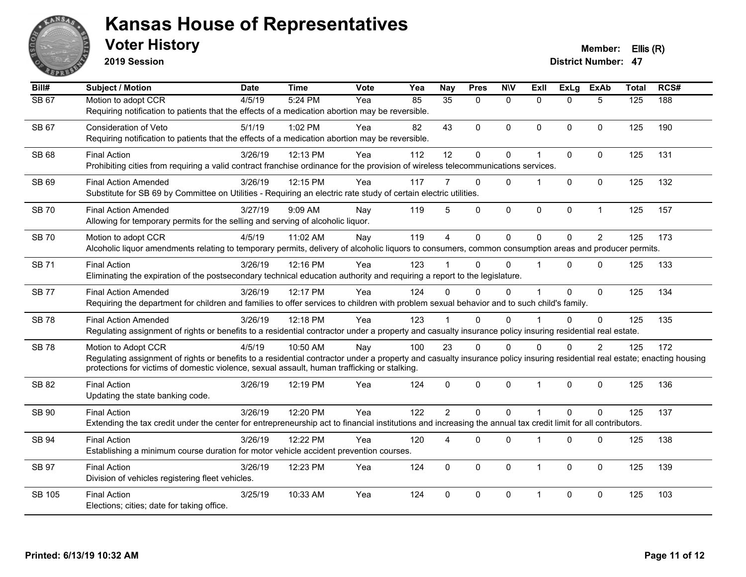

**2019 Session**

| Bill#         | <b>Subject / Motion</b>                                                                                                                                                                                                                                                                          | <b>Date</b> | <b>Time</b> | Vote | Yea | Nay            | <b>Pres</b> | <b>NIV</b>   | Exll           | <b>ExLg</b>  | <b>ExAb</b>    | <b>Total</b> | RCS# |
|---------------|--------------------------------------------------------------------------------------------------------------------------------------------------------------------------------------------------------------------------------------------------------------------------------------------------|-------------|-------------|------|-----|----------------|-------------|--------------|----------------|--------------|----------------|--------------|------|
| <b>SB 67</b>  | Motion to adopt CCR<br>Requiring notification to patients that the effects of a medication abortion may be reversible.                                                                                                                                                                           | 4/5/19      | 5:24 PM     | Yea  | 85  | 35             | $\Omega$    | $\mathbf{0}$ | $\Omega$       | $\Omega$     | 5              | 125          | 188  |
| SB 67         | Consideration of Veto<br>Requiring notification to patients that the effects of a medication abortion may be reversible.                                                                                                                                                                         | 5/1/19      | 1:02 PM     | Yea  | 82  | 43             | $\Omega$    | $\mathbf{0}$ | $\Omega$       | $\Omega$     | $\mathbf{0}$   | 125          | 190  |
| <b>SB 68</b>  | <b>Final Action</b><br>Prohibiting cities from requiring a valid contract franchise ordinance for the provision of wireless telecommunications services.                                                                                                                                         | 3/26/19     | 12:13 PM    | Yea  | 112 | 12             | 0           | $\mathbf 0$  | 1              | $\Omega$     | $\mathbf{0}$   | 125          | 131  |
| SB 69         | <b>Final Action Amended</b><br>Substitute for SB 69 by Committee on Utilities - Requiring an electric rate study of certain electric utilities.                                                                                                                                                  | 3/26/19     | 12:15 PM    | Yea  | 117 | $\overline{7}$ | $\Omega$    | $\Omega$     |                | $\Omega$     | $\mathbf{0}$   | 125          | 132  |
| <b>SB70</b>   | <b>Final Action Amended</b><br>Allowing for temporary permits for the selling and serving of alcoholic liquor.                                                                                                                                                                                   | 3/27/19     | 9:09 AM     | Nay  | 119 | 5              | 0           | $\mathbf 0$  | $\mathbf 0$    | $\mathbf 0$  | $\mathbf{1}$   | 125          | 157  |
| <b>SB70</b>   | Motion to adopt CCR<br>Alcoholic liquor amendments relating to temporary permits, delivery of alcoholic liquors to consumers, common consumption areas and producer permits.                                                                                                                     | 4/5/19      | 11:02 AM    | Nay  | 119 | $\overline{4}$ | 0           | $\Omega$     | $\Omega$       | $\Omega$     | $\overline{2}$ | 125          | 173  |
| <b>SB71</b>   | <b>Final Action</b><br>Eliminating the expiration of the postsecondary technical education authority and requiring a report to the legislature.                                                                                                                                                  | 3/26/19     | 12:16 PM    | Yea  | 123 |                | $\Omega$    | $\Omega$     |                | $\Omega$     | $\mathbf{0}$   | 125          | 133  |
| <b>SB77</b>   | <b>Final Action Amended</b><br>Requiring the department for children and families to offer services to children with problem sexual behavior and to such child's family.                                                                                                                         | 3/26/19     | 12:17 PM    | Yea  | 124 | $\Omega$       | $\Omega$    | $\Omega$     |                | $\Omega$     | $\mathbf{0}$   | 125          | 134  |
| <b>SB78</b>   | <b>Final Action Amended</b><br>Regulating assignment of rights or benefits to a residential contractor under a property and casualty insurance policy insuring residential real estate.                                                                                                          | 3/26/19     | 12:18 PM    | Yea  | 123 |                | $\Omega$    | $\Omega$     |                | $\Omega$     | $\mathbf{0}$   | 125          | 135  |
| <b>SB78</b>   | Motion to Adopt CCR<br>Regulating assignment of rights or benefits to a residential contractor under a property and casualty insurance policy insuring residential real estate; enacting housing<br>protections for victims of domestic violence, sexual assault, human trafficking or stalking. | 4/5/19      | 10:50 AM    | Nay  | 100 | 23             | $\Omega$    | $\Omega$     | $\Omega$       | $\Omega$     | $\overline{2}$ | 125          | 172  |
| SB 82         | <b>Final Action</b><br>Updating the state banking code.                                                                                                                                                                                                                                          | 3/26/19     | 12:19 PM    | Yea  | 124 | $\Omega$       | $\Omega$    | $\mathbf{0}$ | 1              | $\Omega$     | $\mathbf{0}$   | 125          | 136  |
| SB 90         | <b>Final Action</b><br>Extending the tax credit under the center for entrepreneurship act to financial institutions and increasing the annual tax credit limit for all contributors.                                                                                                             | 3/26/19     | 12:20 PM    | Yea  | 122 | $\overline{2}$ | $\Omega$    | $\Omega$     | 1              | $\Omega$     | $\mathbf{0}$   | 125          | 137  |
| SB 94         | <b>Final Action</b><br>Establishing a minimum course duration for motor vehicle accident prevention courses.                                                                                                                                                                                     | 3/26/19     | 12:22 PM    | Yea  | 120 | 4              | $\Omega$    | 0            |                | $\mathbf 0$  | $\mathbf{0}$   | 125          | 138  |
| <b>SB 97</b>  | <b>Final Action</b><br>Division of vehicles registering fleet vehicles.                                                                                                                                                                                                                          | 3/26/19     | 12:23 PM    | Yea  | 124 | $\mathbf{0}$   | $\Omega$    | $\mathbf{0}$ | -1             | $\mathbf{0}$ | $\mathbf{0}$   | 125          | 139  |
| <b>SB 105</b> | <b>Final Action</b><br>Elections; cities; date for taking office.                                                                                                                                                                                                                                | 3/25/19     | 10:33 AM    | Yea  | 124 | $\Omega$       | $\Omega$    | $\mathbf{0}$ | $\overline{1}$ | $\Omega$     | $\mathbf{0}$   | 125          | 103  |